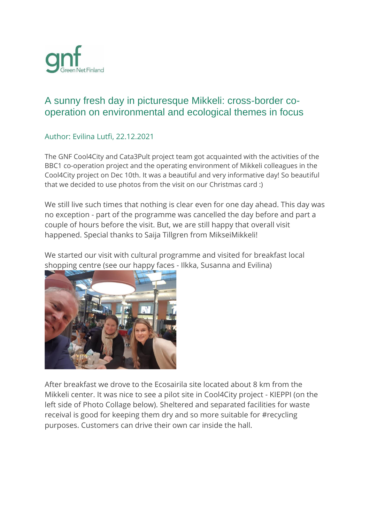

## A sunny fresh day in picturesque Mikkeli: cross-border cooperation on environmental and ecological themes in focus

## Author: Evilina Lutfi, 22.12.2021

The GNF Cool4City and Cata3Pult project team got acquainted with the activities of the BBC1 co-operation project and the operating environment of Mikkeli colleagues in the Cool4City project on Dec 10th. It was a beautiful and very informative day! So beautiful that we decided to use photos from the visit on our Christmas card :)

We still live such times that nothing is clear even for one day ahead. This day was no exception - part of the programme was cancelled the day before and part a couple of hours before the visit. But, we are still happy that overall visit happened. Special thanks to Saija Tillgren from MikseiMikkeli!

We started our visit with cultural programme and visited for breakfast local shopping centre (see our happy faces - Ilkka, Susanna and Evilina)



After breakfast we drove to the Ecosairila site located about 8 km from the Mikkeli center. It was nice to see a pilot site in Cool4City project - KIEPPI (on the left side of Photo Collage below). Sheltered and separated facilities for waste receival is good for keeping them dry and so more suitable for #recycling purposes. Customers can drive their own car inside the hall.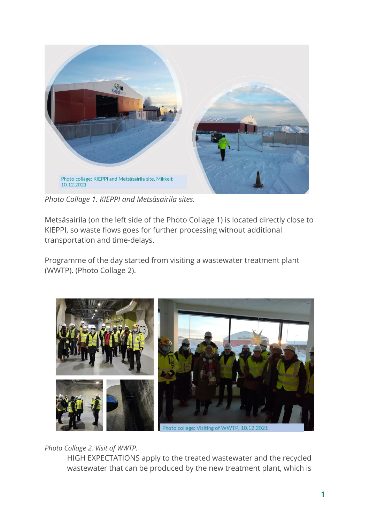

*Photo Collage 1. KIEPPI and Metsäsairila sites.*

Metsäsairila (on the left side of the Photo Collage 1) is located directly close to KIEPPI, so waste flows goes for further processing without additional transportation and time-delays.

Programme of the day started from visiting a wastewater treatment plant (WWTP). (Photo Collage 2).



*Photo Collage 2. Visit of WWTP.*

HIGH EXPECTATIONS apply to the treated wastewater and the recycled wastewater that can be produced by the new treatment plant, which is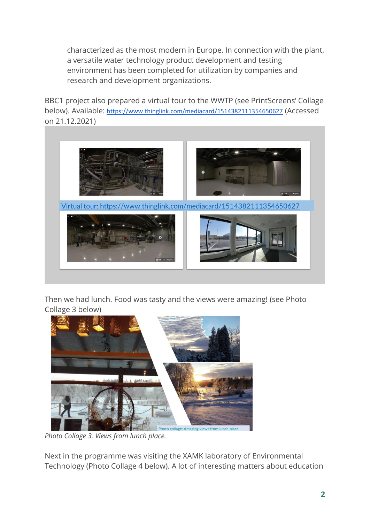characterized as the most modern in Europe. In connection with the plant, a versatile water technology product development and testing environment has been completed for utilization by companies and research and development organizations.

BBC1 project also prepared a virtual tour to the WWTP (see PrintScreens' Collage below). Available: <https://www.thinglink.com/mediacard/1514382111354650627> (Accessed on 21.12.2021)



Then we had lunch. Food was tasty and the views were amazing! (see Photo Collage 3 below)



*Photo Collage 3. Views from lunch place.* 

Next in the programme was visiting the XAMK laboratory of Environmental Technology (Photo Collage 4 below). A lot of interesting matters about education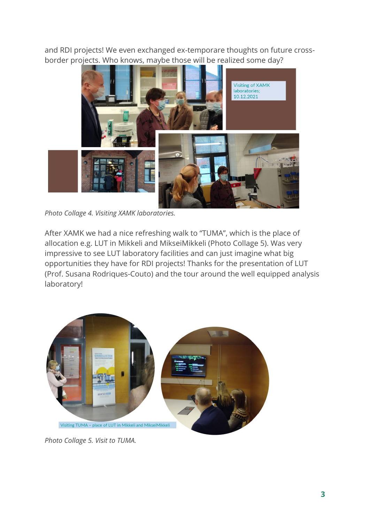and RDI projects! We even exchanged ex-temporare thoughts on future crossborder projects. Who knows, maybe those will be realized some day?



*Photo Collage 4. Visiting XAMK laboratories.*

After XAMK we had a nice refreshing walk to "TUMA", which is the place of allocation e.g. LUT in Mikkeli and MikseiMikkeli (Photo Collage 5). Was very impressive to see LUT laboratory facilities and can just imagine what big opportunities they have for RDI projects! Thanks for the presentation of LUT (Prof. Susana Rodriques-Couto) and the tour around the well equipped analysis laboratory!



*Photo Collage 5. Visit to TUMA.*